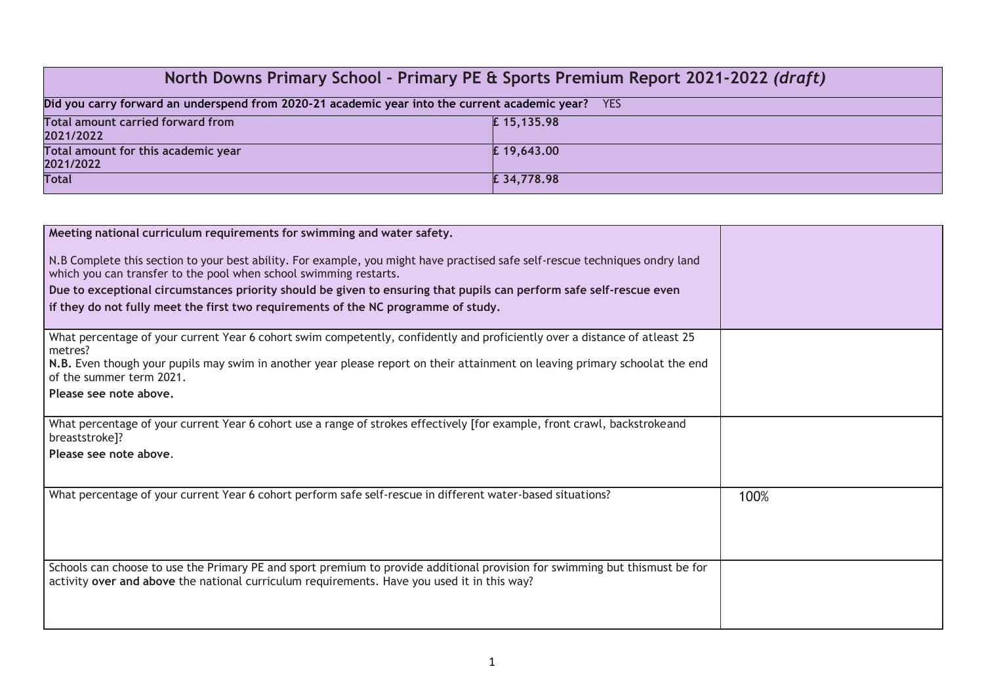| North Downs Primary School - Primary PE & Sports Premium Report 2021-2022 (draft)                            |            |  |  |
|--------------------------------------------------------------------------------------------------------------|------------|--|--|
| Did you carry forward an underspend from 2020-21 academic year into the current academic year?<br><b>YES</b> |            |  |  |
| <b>Total amount carried forward from</b><br>2021/2022                                                        | £15,135.98 |  |  |
| Total amount for this academic year<br>2021/2022                                                             | £19,643.00 |  |  |
| <b>Total</b>                                                                                                 | £34,778.98 |  |  |

| Meeting national curriculum requirements for swimming and water safety.                                                                                                                                                    |      |
|----------------------------------------------------------------------------------------------------------------------------------------------------------------------------------------------------------------------------|------|
| N.B Complete this section to your best ability. For example, you might have practised safe self-rescue techniques ondry land<br>which you can transfer to the pool when school swimming restarts.                          |      |
| Due to exceptional circumstances priority should be given to ensuring that pupils can perform safe self-rescue even                                                                                                        |      |
| if they do not fully meet the first two requirements of the NC programme of study.                                                                                                                                         |      |
| What percentage of your current Year 6 cohort swim competently, confidently and proficiently over a distance of atleast 25                                                                                                 |      |
| metres?<br>N.B. Even though your pupils may swim in another year please report on their attainment on leaving primary schoolat the end<br>of the summer term 2021.                                                         |      |
| Please see note above.                                                                                                                                                                                                     |      |
| What percentage of your current Year 6 cohort use a range of strokes effectively [for example, front crawl, backstrokeand<br>breaststroke]?                                                                                |      |
| Please see note above.                                                                                                                                                                                                     |      |
| What percentage of your current Year 6 cohort perform safe self-rescue in different water-based situations?                                                                                                                | 100% |
| Schools can choose to use the Primary PE and sport premium to provide additional provision for swimming but thismust be for<br>activity over and above the national curriculum requirements. Have you used it in this way? |      |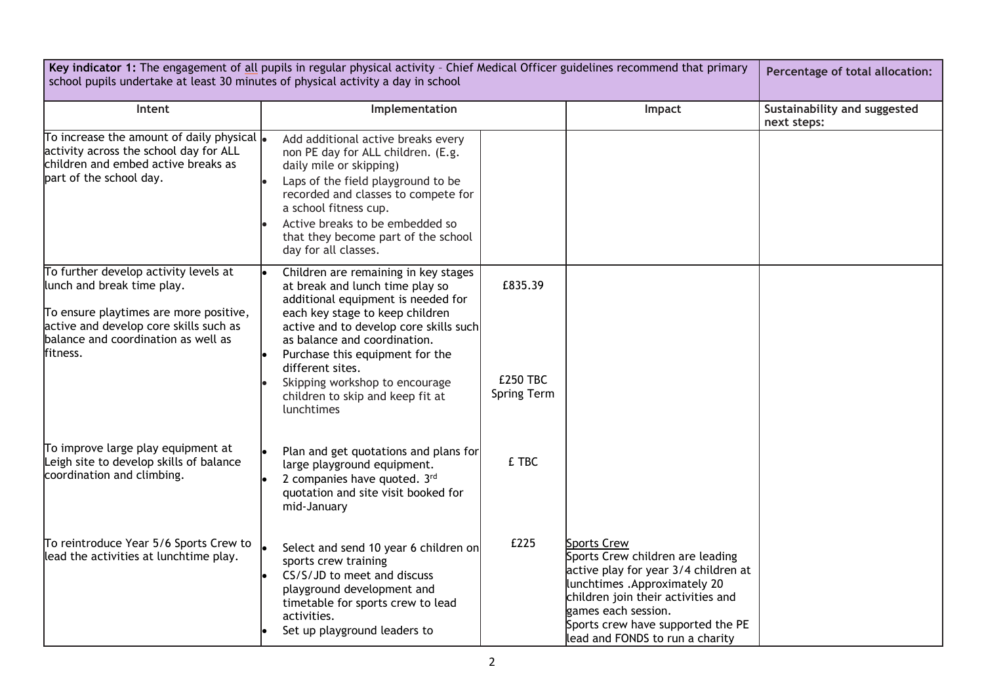| Key indicator 1: The engagement of all pupils in regular physical activity - Chief Medical Officer guidelines recommend that primary<br>school pupils undertake at least 30 minutes of physical activity a day in school |                                                                                                                                                                                                                                                                                                                                                                       |                                           |                                                                                                                                                                                                                                                                      | Percentage of total allocation: |
|--------------------------------------------------------------------------------------------------------------------------------------------------------------------------------------------------------------------------|-----------------------------------------------------------------------------------------------------------------------------------------------------------------------------------------------------------------------------------------------------------------------------------------------------------------------------------------------------------------------|-------------------------------------------|----------------------------------------------------------------------------------------------------------------------------------------------------------------------------------------------------------------------------------------------------------------------|---------------------------------|
| Intent                                                                                                                                                                                                                   | Implementation<br>Impact                                                                                                                                                                                                                                                                                                                                              |                                           | Sustainability and suggested<br>next steps:                                                                                                                                                                                                                          |                                 |
| To increase the amount of daily physical $\vert_{\bullet}$<br>activity across the school day for ALL<br>children and embed active breaks as<br>part of the school day.                                                   | Add additional active breaks every<br>non PE day for ALL children. (E.g.<br>daily mile or skipping)<br>Laps of the field playground to be<br>recorded and classes to compete for<br>a school fitness cup.<br>Active breaks to be embedded so<br>that they become part of the school<br>day for all classes.                                                           |                                           |                                                                                                                                                                                                                                                                      |                                 |
| To further develop activity levels at<br>lunch and break time play.<br>To ensure playtimes are more positive,<br>active and develop core skills such as<br>balance and coordination as well as<br>fitness.               | Children are remaining in key stages<br>at break and lunch time play so<br>additional equipment is needed for<br>each key stage to keep children<br>active and to develop core skills such<br>as balance and coordination.<br>Purchase this equipment for the<br>different sites.<br>Skipping workshop to encourage<br>children to skip and keep fit at<br>lunchtimes | £835.39<br><b>£250 TBC</b><br>Spring Term |                                                                                                                                                                                                                                                                      |                                 |
| To improve large play equipment at<br>Leigh site to develop skills of balance<br>coordination and climbing.                                                                                                              | Plan and get quotations and plans for<br>large playground equipment.<br>2 companies have quoted. 3rd<br>quotation and site visit booked for<br>mid-January                                                                                                                                                                                                            | £ TBC                                     |                                                                                                                                                                                                                                                                      |                                 |
| To reintroduce Year 5/6 Sports Crew to<br>lead the activities at lunchtime play.                                                                                                                                         | Select and send 10 year 6 children on<br>sports crew training<br>CS/S/JD to meet and discuss<br>playground development and<br>timetable for sports crew to lead<br>activities.<br>Set up playground leaders to                                                                                                                                                        | £225                                      | <b>Sports Crew</b><br>Sports Crew children are leading<br>active play for year 3/4 children at<br>lunchtimes . Approximately 20<br>children join their activities and<br>games each session.<br>Sports crew have supported the PE<br>lead and FONDS to run a charity |                                 |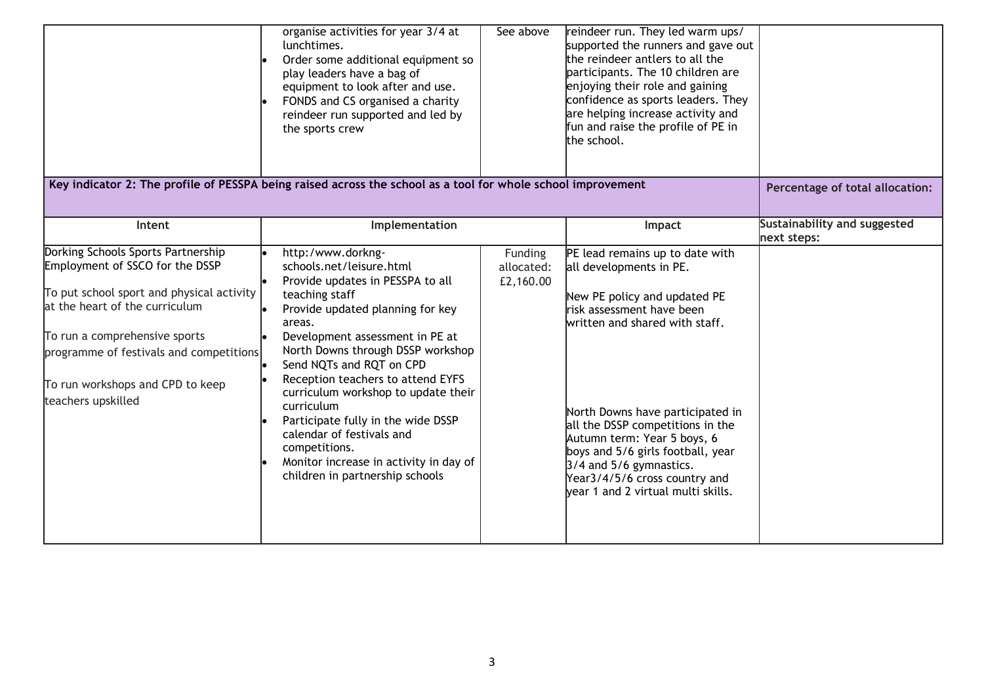|                                                                                                                                                                                                                                                                                            | organise activities for year 3/4 at<br>lunchtimes.<br>Order some additional equipment so<br>play leaders have a bag of<br>equipment to look after and use.<br>FONDS and CS organised a charity<br>reindeer run supported and led by<br>the sports crew                                                                                                                                                                                                                                                           | See above                          | reindeer run. They led warm ups/<br>supported the runners and gave out<br>the reindeer antlers to all the<br>participants. The 10 children are<br>enjoying their role and gaining<br>confidence as sports leaders. They<br>are helping increase activity and<br>fun and raise the profile of PE in<br>the school.                                                                                       |                                             |
|--------------------------------------------------------------------------------------------------------------------------------------------------------------------------------------------------------------------------------------------------------------------------------------------|------------------------------------------------------------------------------------------------------------------------------------------------------------------------------------------------------------------------------------------------------------------------------------------------------------------------------------------------------------------------------------------------------------------------------------------------------------------------------------------------------------------|------------------------------------|---------------------------------------------------------------------------------------------------------------------------------------------------------------------------------------------------------------------------------------------------------------------------------------------------------------------------------------------------------------------------------------------------------|---------------------------------------------|
|                                                                                                                                                                                                                                                                                            | Key indicator 2: The profile of PESSPA being raised across the school as a tool for whole school improvement                                                                                                                                                                                                                                                                                                                                                                                                     |                                    |                                                                                                                                                                                                                                                                                                                                                                                                         | Percentage of total allocation:             |
| Intent                                                                                                                                                                                                                                                                                     | Implementation                                                                                                                                                                                                                                                                                                                                                                                                                                                                                                   |                                    | Impact                                                                                                                                                                                                                                                                                                                                                                                                  | Sustainability and suggested<br>next steps: |
| Dorking Schools Sports Partnership<br>Employment of SSCO for the DSSP<br>To put school sport and physical activity<br>at the heart of the curriculum<br>To run a comprehensive sports<br>programme of festivals and competitions<br>To run workshops and CPD to keep<br>teachers upskilled | http:/www.dorkng-<br>schools.net/leisure.html<br>Provide updates in PESSPA to all<br>teaching staff<br>Provide updated planning for key<br>areas.<br>Development assessment in PE at<br>North Downs through DSSP workshop<br>Send NQTs and RQT on CPD<br>Reception teachers to attend EYFS<br>curriculum workshop to update their<br>curriculum<br>Participate fully in the wide DSSP<br>calendar of festivals and<br>competitions.<br>Monitor increase in activity in day of<br>children in partnership schools | Funding<br>allocated:<br>£2,160.00 | PE lead remains up to date with<br>all developments in PE.<br>New PE policy and updated PE<br>risk assessment have been<br>written and shared with staff.<br>North Downs have participated in<br>all the DSSP competitions in the<br>Autumn term: Year 5 boys, 6<br>boys and 5/6 girls football, year<br>3/4 and 5/6 gymnastics.<br>Year3/4/5/6 cross country and<br>vear 1 and 2 virtual multi skills. |                                             |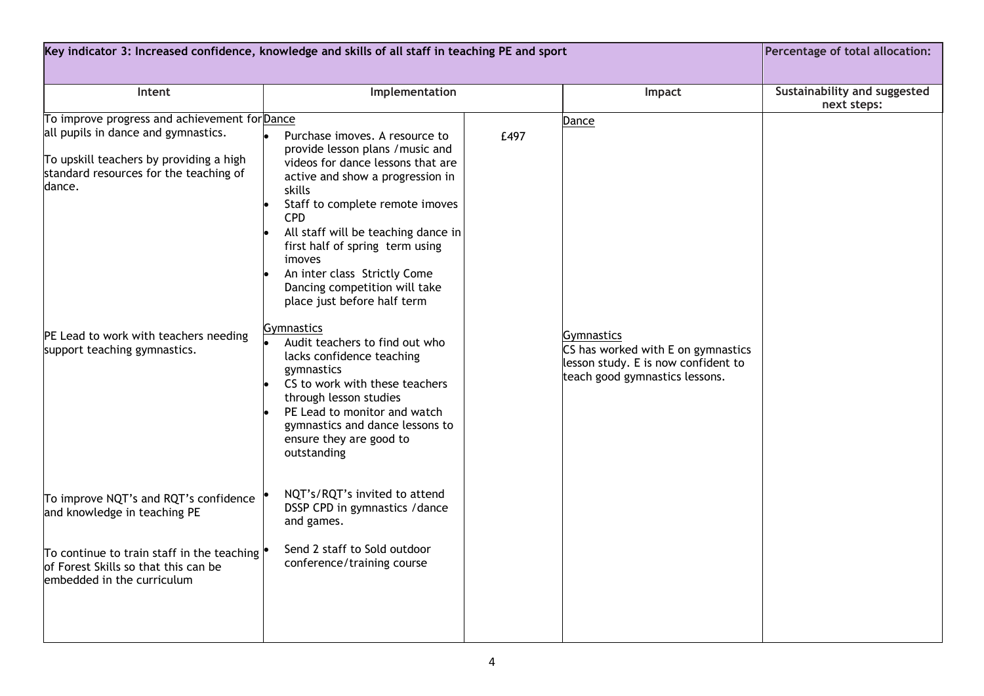| Key indicator 3: Increased confidence, knowledge and skills of all staff in teaching PE and sport                                  |                                                                                                                                                                                                                                                                                                                                                                                            |      | Percentage of total allocation:                                                                                                  |                                             |
|------------------------------------------------------------------------------------------------------------------------------------|--------------------------------------------------------------------------------------------------------------------------------------------------------------------------------------------------------------------------------------------------------------------------------------------------------------------------------------------------------------------------------------------|------|----------------------------------------------------------------------------------------------------------------------------------|---------------------------------------------|
|                                                                                                                                    |                                                                                                                                                                                                                                                                                                                                                                                            |      |                                                                                                                                  |                                             |
| Intent                                                                                                                             | Implementation                                                                                                                                                                                                                                                                                                                                                                             |      | Impact                                                                                                                           | Sustainability and suggested<br>next steps: |
| To improve progress and achievement for Dance                                                                                      |                                                                                                                                                                                                                                                                                                                                                                                            |      | Dance                                                                                                                            |                                             |
| all pupils in dance and gymnastics.<br>To upskill teachers by providing a high<br>standard resources for the teaching of<br>dance. | Purchase imoves. A resource to<br>provide lesson plans / music and<br>videos for dance lessons that are<br>active and show a progression in<br>skills<br>Staff to complete remote imoves<br><b>CPD</b><br>All staff will be teaching dance in<br>first half of spring term using<br>imoves<br>An inter class Strictly Come<br>Dancing competition will take<br>place just before half term | £497 |                                                                                                                                  |                                             |
| PE Lead to work with teachers needing<br>support teaching gymnastics.                                                              | <b>Gymnastics</b><br>Audit teachers to find out who<br>lacks confidence teaching<br>gymnastics<br>CS to work with these teachers<br>through lesson studies<br>PE Lead to monitor and watch<br>gymnastics and dance lessons to<br>ensure they are good to<br>outstanding                                                                                                                    |      | <b>Gymnastics</b><br>CS has worked with E on gymnastics<br>lesson study. E is now confident to<br>teach good gymnastics lessons. |                                             |
| To improve NQT's and RQT's confidence<br>and knowledge in teaching PE                                                              | NQT's/RQT's invited to attend<br>DSSP CPD in gymnastics / dance<br>and games.                                                                                                                                                                                                                                                                                                              |      |                                                                                                                                  |                                             |
| To continue to train staff in the teaching<br>of Forest Skills so that this can be<br>embedded in the curriculum                   | Send 2 staff to Sold outdoor<br>conference/training course                                                                                                                                                                                                                                                                                                                                 |      |                                                                                                                                  |                                             |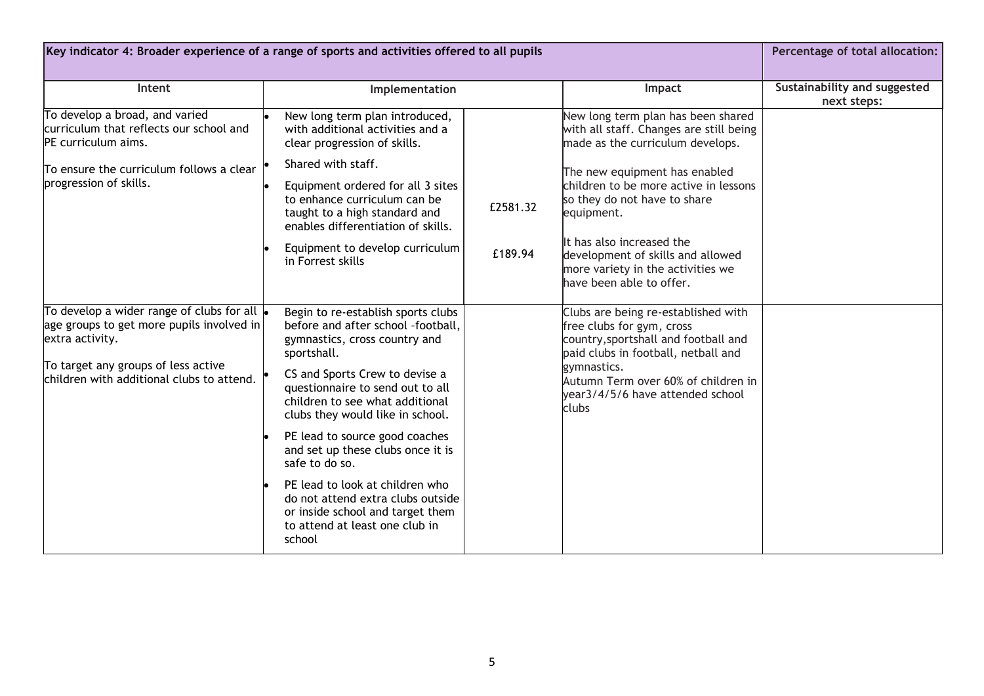| Key indicator 4: Broader experience of a range of sports and activities offered to all pupils                                                                                                           |                                                                                                                                                                                                                                                                                                                                                                                                                                                                                                                        |                     |                                                                                                                                                                                                                                                         | Percentage of total allocation:             |
|---------------------------------------------------------------------------------------------------------------------------------------------------------------------------------------------------------|------------------------------------------------------------------------------------------------------------------------------------------------------------------------------------------------------------------------------------------------------------------------------------------------------------------------------------------------------------------------------------------------------------------------------------------------------------------------------------------------------------------------|---------------------|---------------------------------------------------------------------------------------------------------------------------------------------------------------------------------------------------------------------------------------------------------|---------------------------------------------|
| Intent                                                                                                                                                                                                  | Implementation                                                                                                                                                                                                                                                                                                                                                                                                                                                                                                         |                     | Impact                                                                                                                                                                                                                                                  | Sustainability and suggested<br>next steps: |
| To develop a broad, and varied<br>curriculum that reflects our school and<br>PE curriculum aims.                                                                                                        | New long term plan introduced,<br>with additional activities and a<br>clear progression of skills.                                                                                                                                                                                                                                                                                                                                                                                                                     |                     | New long term plan has been shared<br>with all staff. Changes are still being<br>made as the curriculum develops.                                                                                                                                       |                                             |
| To ensure the curriculum follows a clear<br>progression of skills.                                                                                                                                      | Shared with staff.<br>Equipment ordered for all 3 sites<br>to enhance curriculum can be<br>taught to a high standard and<br>enables differentiation of skills.<br>Equipment to develop curriculum<br>in Forrest skills                                                                                                                                                                                                                                                                                                 | £2581.32<br>£189.94 | The new equipment has enabled<br>children to be more active in lessons<br>so they do not have to share<br>equipment.<br>It has also increased the<br>development of skills and allowed<br>more variety in the activities we<br>have been able to offer. |                                             |
| To develop a wider range of clubs for all $\bullet$<br>age groups to get more pupils involved in<br>extra activity.<br>To target any groups of less active<br>children with additional clubs to attend. | Begin to re-establish sports clubs<br>before and after school -football,<br>gymnastics, cross country and<br>sportshall.<br>CS and Sports Crew to devise a<br>questionnaire to send out to all<br>children to see what additional<br>clubs they would like in school.<br>PE lead to source good coaches<br>and set up these clubs once it is<br>safe to do so.<br>PE lead to look at children who<br>do not attend extra clubs outside<br>or inside school and target them<br>to attend at least one club in<br>school |                     | Clubs are being re-established with<br>free clubs for gym, cross<br>country, sportshall and football and<br>paid clubs in football, netball and<br>gymnastics.<br>Autumn Term over 60% of children in<br>year3/4/5/6 have attended school<br>clubs      |                                             |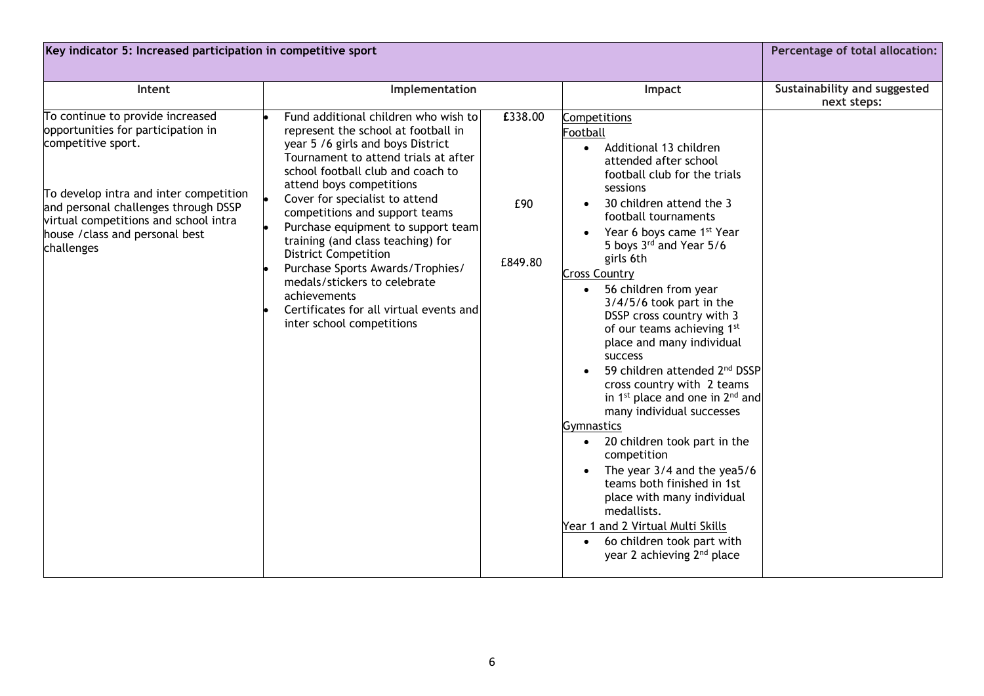| Key indicator 5: Increased participation in competitive sport                                                                                                                                                                                                            |                                                                                                                                                                                                                                                                                                                                                                                                                                                                                                                                                                     |                           |                                                                                                                                                                                                                                                                                                                                                                                                                                                                                                                                                                                                                                                                                                                                                                                                                                                                                                                            | Percentage of total allocation:             |
|--------------------------------------------------------------------------------------------------------------------------------------------------------------------------------------------------------------------------------------------------------------------------|---------------------------------------------------------------------------------------------------------------------------------------------------------------------------------------------------------------------------------------------------------------------------------------------------------------------------------------------------------------------------------------------------------------------------------------------------------------------------------------------------------------------------------------------------------------------|---------------------------|----------------------------------------------------------------------------------------------------------------------------------------------------------------------------------------------------------------------------------------------------------------------------------------------------------------------------------------------------------------------------------------------------------------------------------------------------------------------------------------------------------------------------------------------------------------------------------------------------------------------------------------------------------------------------------------------------------------------------------------------------------------------------------------------------------------------------------------------------------------------------------------------------------------------------|---------------------------------------------|
| Intent                                                                                                                                                                                                                                                                   | Implementation                                                                                                                                                                                                                                                                                                                                                                                                                                                                                                                                                      |                           | Impact                                                                                                                                                                                                                                                                                                                                                                                                                                                                                                                                                                                                                                                                                                                                                                                                                                                                                                                     | Sustainability and suggested<br>next steps: |
| To continue to provide increased<br>opportunities for participation in<br>competitive sport.<br>To develop intra and inter competition<br>and personal challenges through DSSP<br>virtual competitions and school intra<br>house / class and personal best<br>challenges | Fund additional children who wish to<br>represent the school at football in<br>year 5 /6 girls and boys District<br>Tournament to attend trials at after<br>school football club and coach to<br>attend boys competitions<br>Cover for specialist to attend<br>competitions and support teams<br>Purchase equipment to support team<br>training (and class teaching) for<br><b>District Competition</b><br>Purchase Sports Awards/Trophies/<br>medals/stickers to celebrate<br>achievements<br>Certificates for all virtual events and<br>inter school competitions | £338.00<br>£90<br>£849.80 | Competitions<br>Football<br>Additional 13 children<br>$\bullet$<br>attended after school<br>football club for the trials<br>sessions<br>30 children attend the 3<br>football tournaments<br>Year 6 boys came 1 <sup>st</sup> Year<br>5 boys 3rd and Year 5/6<br>girls 6th<br><b>Cross Country</b><br>56 children from year<br>3/4/5/6 took part in the<br>DSSP cross country with 3<br>of our teams achieving 1st<br>place and many individual<br>success<br>59 children attended 2 <sup>nd</sup> DSSP<br>cross country with 2 teams<br>in 1 <sup>st</sup> place and one in $2^{nd}$ and<br>many individual successes<br>Gymnastics<br>20 children took part in the<br>$\bullet$<br>competition<br>The year $3/4$ and the yea5/6<br>teams both finished in 1st<br>place with many individual<br>medallists.<br>Year 1 and 2 Virtual Multi Skills<br>• 60 children took part with<br>year 2 achieving 2 <sup>nd</sup> place |                                             |